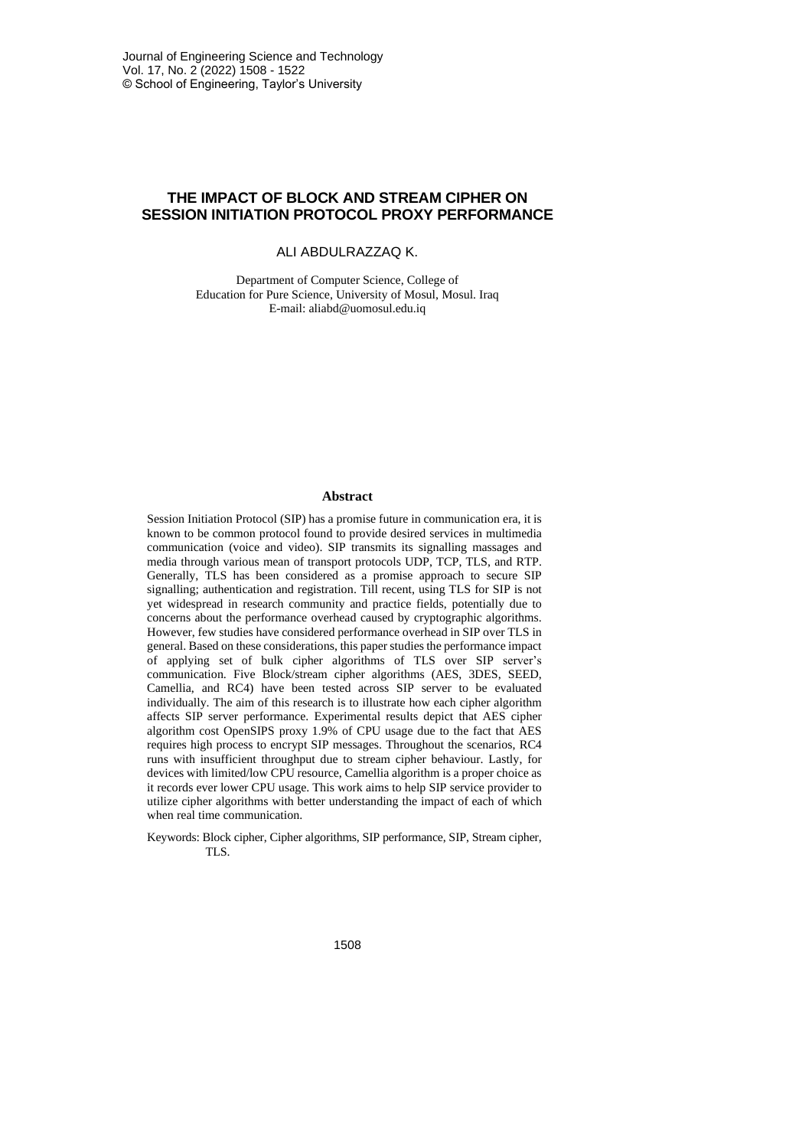# **THE IMPACT OF BLOCK AND STREAM CIPHER ON SESSION INITIATION PROTOCOL PROXY PERFORMANCE**

ALI ABDULRAZZAQ K.

Department of Computer Science, College of Education for Pure Science, University of Mosul, Mosul. Iraq E-mail: aliabd@uomosul.edu.iq

#### **Abstract**

Session Initiation Protocol (SIP) has a promise future in communication era, it is known to be common protocol found to provide desired services in multimedia communication (voice and video). SIP transmits its signalling massages and media through various mean of transport protocols UDP, TCP, TLS, and RTP. Generally, TLS has been considered as a promise approach to secure SIP signalling; authentication and registration. Till recent, using TLS for SIP is not yet widespread in research community and practice fields, potentially due to concerns about the performance overhead caused by cryptographic algorithms. However, few studies have considered performance overhead in SIP over TLS in general. Based on these considerations, this paper studies the performance impact of applying set of bulk cipher algorithms of TLS over SIP server's communication. Five Block/stream cipher algorithms (AES, 3DES, SEED, Camellia, and RC4) have been tested across SIP server to be evaluated individually. The aim of this research is to illustrate how each cipher algorithm affects SIP server performance. Experimental results depict that AES cipher algorithm cost OpenSIPS proxy 1.9% of CPU usage due to the fact that AES requires high process to encrypt SIP messages. Throughout the scenarios, RC4 runs with insufficient throughput due to stream cipher behaviour. Lastly, for devices with limited/low CPU resource, Camellia algorithm is a proper choice as it records ever lower CPU usage. This work aims to help SIP service provider to utilize cipher algorithms with better understanding the impact of each of which when real time communication.

Keywords: Block cipher, Cipher algorithms, SIP performance, SIP, Stream cipher, TLS.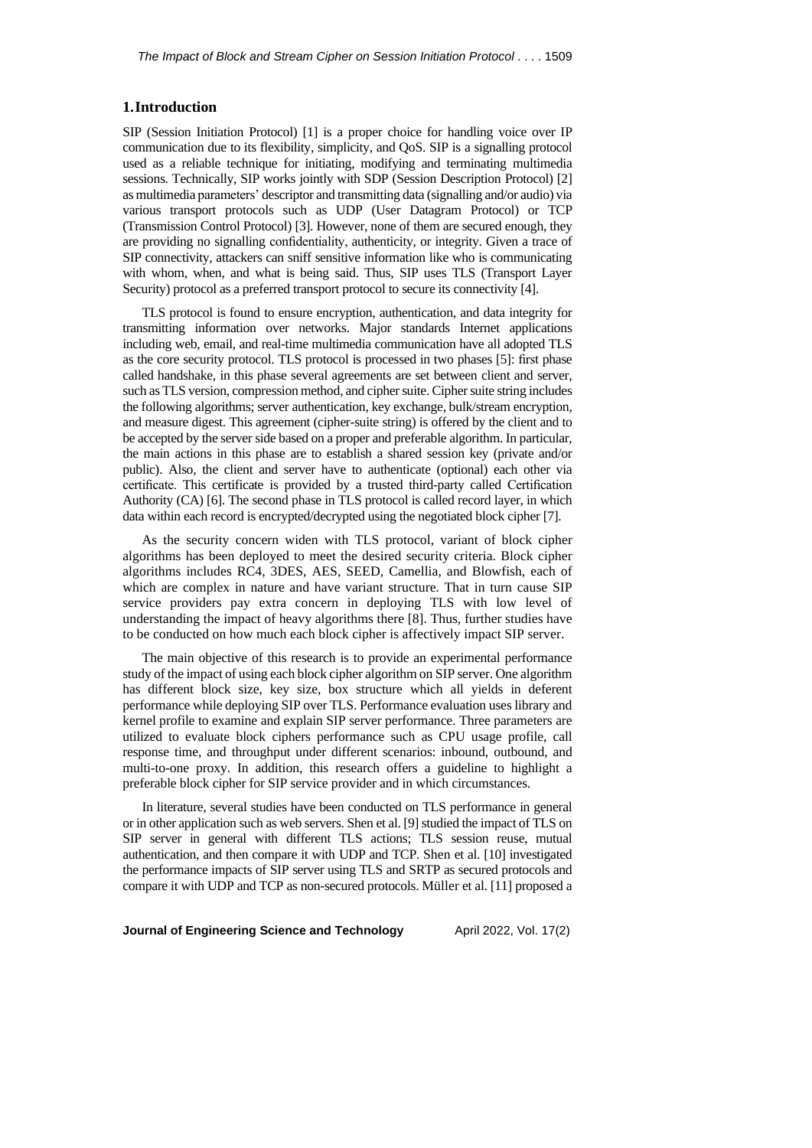## **1.Introduction**

SIP (Session Initiation Protocol) [1] is a proper choice for handling voice over IP communication due to its flexibility, simplicity, and QoS. SIP is a signalling protocol used as a reliable technique for initiating, modifying and terminating multimedia sessions. Technically, SIP works jointly with SDP (Session Description Protocol) [2] as multimedia parameters' descriptor and transmitting data (signalling and/or audio) via various transport protocols such as UDP (User Datagram Protocol) or TCP (Transmission Control Protocol) [3]. However, none of them are secured enough, they are providing no signalling confidentiality, authenticity, or integrity. Given a trace of SIP connectivity, attackers can sniff sensitive information like who is communicating with whom, when, and what is being said. Thus, SIP uses TLS (Transport Layer Security) protocol as a preferred transport protocol to secure its connectivity [4].

TLS protocol is found to ensure encryption, authentication, and data integrity for transmitting information over networks. Major standards Internet applications including web, email, and real-time multimedia communication have all adopted TLS as the core security protocol. TLS protocol is processed in two phases [5]: first phase called handshake, in this phase several agreements are set between client and server, such as TLS version, compression method, and cipher suite. Cipher suite string includes the following algorithms; server authentication, key exchange, bulk/stream encryption, and measure digest. This agreement (cipher-suite string) is offered by the client and to be accepted by the server side based on a proper and preferable algorithm. In particular, the main actions in this phase are to establish a shared session key (private and/or public). Also, the client and server have to authenticate (optional) each other via certificate. This certificate is provided by a trusted third-party called Certification Authority (CA) [6]. The second phase in TLS protocol is called record layer, in which data within each record is encrypted/decrypted using the negotiated block cipher [7].

As the security concern widen with TLS protocol, variant of block cipher algorithms has been deployed to meet the desired security criteria. Block cipher algorithms includes RC4, 3DES, AES, SEED, Camellia, and Blowfish, each of which are complex in nature and have variant structure. That in turn cause SIP service providers pay extra concern in deploying TLS with low level of understanding the impact of heavy algorithms there [8]. Thus, further studies have to be conducted on how much each block cipher is affectively impact SIP server.

The main objective of this research is to provide an experimental performance study of the impact of using each block cipher algorithm on SIP server. One algorithm has different block size, key size, box structure which all yields in deferent performance while deploying SIP over TLS. Performance evaluation uses library and kernel profile to examine and explain SIP server performance. Three parameters are utilized to evaluate block ciphers performance such as CPU usage profile, call response time, and throughput under different scenarios: inbound, outbound, and multi-to-one proxy. In addition, this research offers a guideline to highlight a preferable block cipher for SIP service provider and in which circumstances.

In literature, several studies have been conducted on TLS performance in general or in other application such as web servers. Shen et al. [9] studied the impact of TLS on SIP server in general with different TLS actions; TLS session reuse, mutual authentication, and then compare it with UDP and TCP. Shen et al. [10] investigated the performance impacts of SIP server using TLS and SRTP as secured protocols and compare it with UDP and TCP as non-secured protocols. Müller et al. [11] proposed a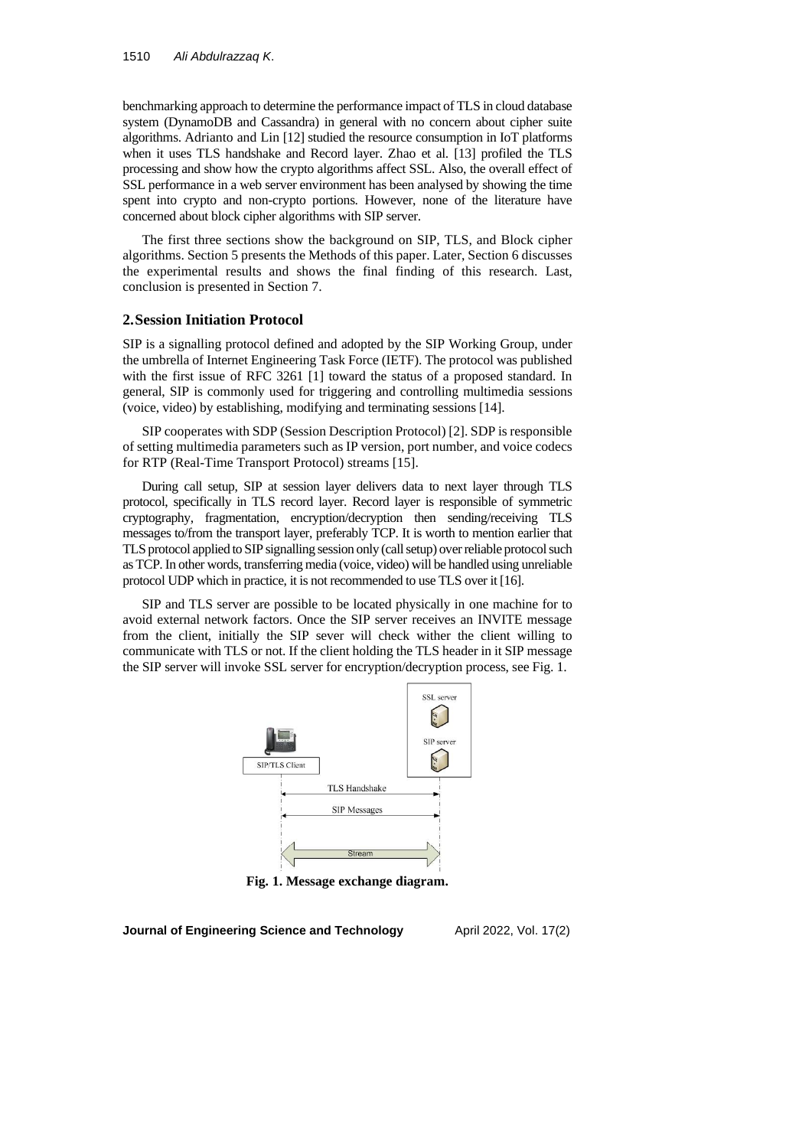benchmarking approach to determine the performance impact of TLS in cloud database system (DynamoDB and Cassandra) in general with no concern about cipher suite algorithms. Adrianto and Lin [12] studied the resource consumption in IoT platforms when it uses TLS handshake and Record layer. Zhao et al. [13] profiled the TLS processing and show how the crypto algorithms affect SSL. Also, the overall effect of SSL performance in a web server environment has been analysed by showing the time spent into crypto and non-crypto portions. However, none of the literature have concerned about block cipher algorithms with SIP server.

The first three sections show the background on SIP, TLS, and Block cipher algorithms. Section 5 presents the Methods of this paper. Later, Section 6 discusses the experimental results and shows the final finding of this research. Last, conclusion is presented in Section 7.

### **2.Session Initiation Protocol**

SIP is a signalling protocol defined and adopted by the SIP Working Group, under the umbrella of Internet Engineering Task Force (IETF). The protocol was published with the first issue of RFC 3261 [1] toward the status of a proposed standard. In general, SIP is commonly used for triggering and controlling multimedia sessions (voice, video) by establishing, modifying and terminating sessions [14].

SIP cooperates with SDP (Session Description Protocol) [2]. SDP is responsible of setting multimedia parameters such as IP version, port number, and voice codecs for RTP (Real-Time Transport Protocol) streams [15].

During call setup, SIP at session layer delivers data to next layer through TLS protocol, specifically in TLS record layer. Record layer is responsible of symmetric cryptography, fragmentation, encryption/decryption then sending/receiving TLS messages to/from the transport layer, preferably TCP. It is worth to mention earlier that TLS protocol applied to SIP signalling session only (call setup) over reliable protocol such as TCP. In other words, transferring media (voice, video) will be handled using unreliable protocol UDP which in practice, it is not recommended to use TLS over it [16].

SIP and TLS server are possible to be located physically in one machine for to avoid external network factors. Once the SIP server receives an INVITE message from the client, initially the SIP sever will check wither the client willing to communicate with TLS or not. If the client holding the TLS header in it SIP message the SIP server will invoke SSL server for encryption/decryption process, see Fig. 1.



**Fig. 1. Message exchange diagram.**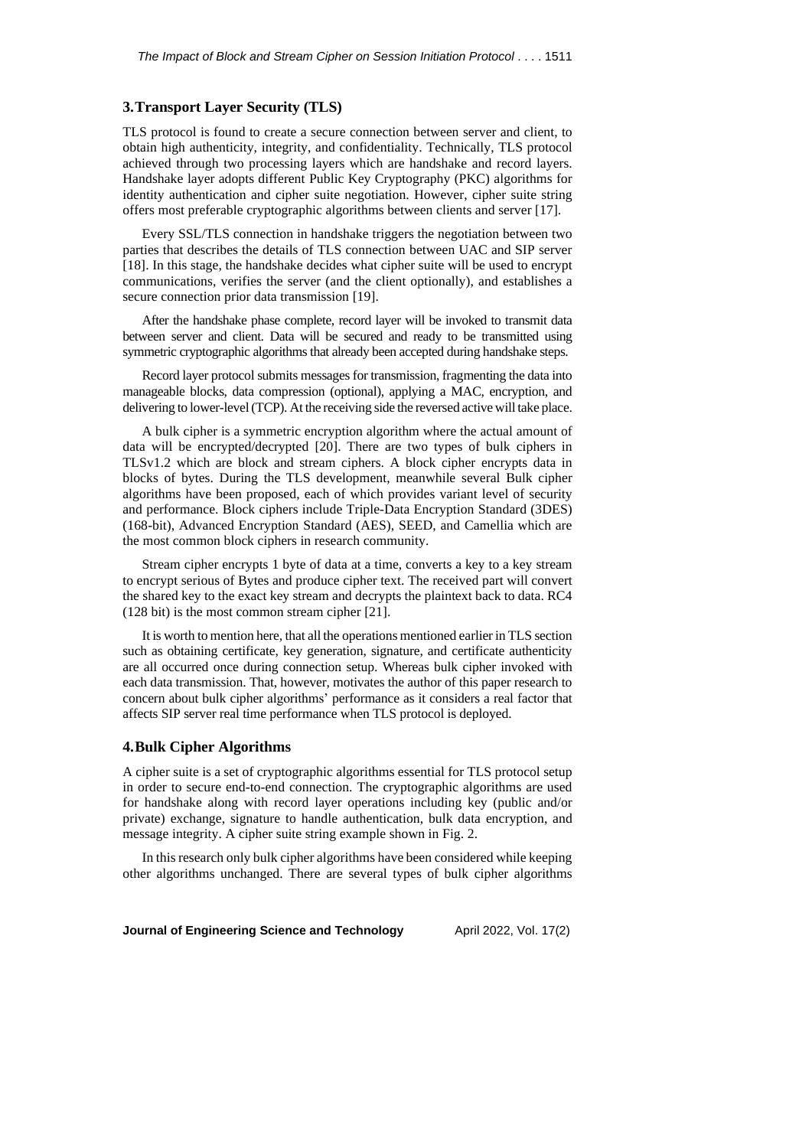## **3.Transport Layer Security (TLS)**

TLS protocol is found to create a secure connection between server and client, to obtain high authenticity, integrity, and confidentiality. Technically, TLS protocol achieved through two processing layers which are handshake and record layers. Handshake layer adopts different Public Key Cryptography (PKC) algorithms for identity authentication and cipher suite negotiation. However, cipher suite string offers most preferable cryptographic algorithms between clients and server [17].

Every SSL/TLS connection in handshake triggers the negotiation between two parties that describes the details of TLS connection between UAC and SIP server [18]. In this stage, the handshake decides what cipher suite will be used to encrypt communications, verifies the server (and the client optionally), and establishes a secure connection prior data transmission [19].

After the handshake phase complete, record layer will be invoked to transmit data between server and client. Data will be secured and ready to be transmitted using symmetric cryptographic algorithms that already been accepted during handshake steps.

Record layer protocol submits messages for transmission, fragmenting the data into manageable blocks, data compression (optional), applying a MAC, encryption, and delivering to lower-level(TCP). At the receiving side the reversed active will take place.

A bulk cipher is a symmetric encryption algorithm where the actual amount of data will be encrypted/decrypted [20]. There are two types of bulk ciphers in TLSv1.2 which are block and stream ciphers. A block cipher encrypts data in blocks of bytes. During the TLS development, meanwhile several Bulk cipher algorithms have been proposed, each of which provides variant level of security and performance. Block ciphers include Triple-Data Encryption Standard (3DES) (168-bit), Advanced Encryption Standard (AES), SEED, and Camellia which are the most common block ciphers in research community.

Stream cipher encrypts 1 byte of data at a time, converts a key to a key stream to encrypt serious of Bytes and produce cipher text. The received part will convert the shared key to the exact key stream and decrypts the plaintext back to data. RC4 (128 bit) is the most common stream cipher [21].

It is worth to mention here, that all the operations mentioned earlier in TLS section such as obtaining certificate, key generation, signature, and certificate authenticity are all occurred once during connection setup. Whereas bulk cipher invoked with each data transmission. That, however, motivates the author of this paper research to concern about bulk cipher algorithms' performance as it considers a real factor that affects SIP server real time performance when TLS protocol is deployed.

## **4.Bulk Cipher Algorithms**

A cipher suite is a set of cryptographic algorithms essential for TLS protocol setup in order to secure end-to-end connection. The cryptographic algorithms are used for handshake along with record layer operations including key (public and/or private) exchange, signature to handle authentication, bulk data encryption, and message integrity. A cipher suite string example shown in Fig. 2.

In this research only bulk cipher algorithms have been considered while keeping other algorithms unchanged. There are several types of bulk cipher algorithms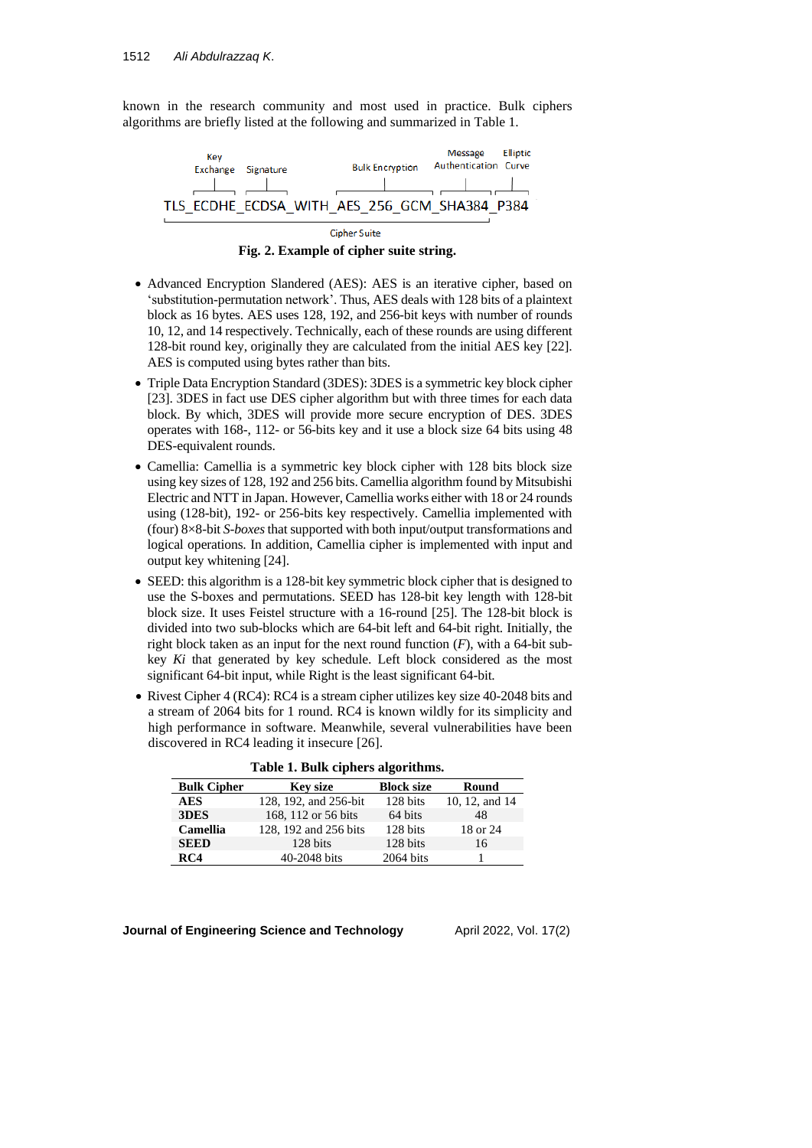known in the research community and most used in practice. Bulk ciphers algorithms are briefly listed at the following and summarized in Table 1.



**Fig. 2. Example of cipher suite string.**

- Advanced Encryption Slandered (AES): AES is an iterative cipher, based on 'substitution-permutation network'. Thus, AES deals with 128 bits of a plaintext block as 16 bytes. AES uses 128, 192, and 256-bit keys with number of rounds 10, 12, and 14 respectively. Technically, each of these rounds are using different 128-bit round key, originally they are calculated from the initial AES key [22]. AES is computed using bytes rather than bits.
- Triple Data Encryption Standard (3DES): 3DES is a symmetric key block cipher [23]. 3DES in fact use DES cipher algorithm but with three times for each data block. By which, 3DES will provide more secure encryption of DES. 3DES operates with 168-, 112- or 56-bits key and it use a block size 64 bits using 48 DES-equivalent rounds.
- Camellia: Camellia is a symmetric key block cipher with 128 bits block size using key sizes of 128, 192 and 256 bits. Camellia algorithm found by Mitsubishi Electric and NTT in Japan. However, Camellia works either with 18 or 24 rounds using (128-bit), 192- or 256-bits key respectively. Camellia implemented with (four) 8×8-bit *S-boxes*that supported with both input/output transformations and logical operations. In addition, Camellia cipher is implemented with input and output key whitening [24].
- SEED: this algorithm is a 128-bit key symmetric block cipher that is designed to use the S-boxes and permutations. SEED has 128-bit key length with 128-bit block size. It uses Feistel structure with a 16-round [25]. The 128-bit block is divided into two sub-blocks which are 64-bit left and 64-bit right. Initially, the right block taken as an input for the next round function (*F*), with a 64-bit subkey *Ki* that generated by key schedule. Left block considered as the most significant 64-bit input, while Right is the least significant 64-bit.
- Rivest Cipher 4 (RC4): RC4 is a stream cipher utilizes key size 40-2048 bits and a stream of 2064 bits for 1 round. RC4 is known wildly for its simplicity and high performance in software. Meanwhile, several vulnerabilities have been discovered in RC4 leading it insecure [26].

| <b>Bulk Cipher</b> | <b>Key size</b>       | <b>Block size</b> | Round          |
|--------------------|-----------------------|-------------------|----------------|
| <b>AES</b>         | 128, 192, and 256-bit | 128 bits          | 10, 12, and 14 |
| 3DES               | 168, 112 or 56 bits   | 64 bits           | 48             |
| Camellia           | 128, 192 and 256 bits | 128 bits          | 18 or 24       |
| <b>SEED</b>        | 128 bits              | 128 bits          | 16             |
| RC4                | 40-2048 bits          | 2064 bits         |                |

**Table 1. Bulk ciphers algorithms.**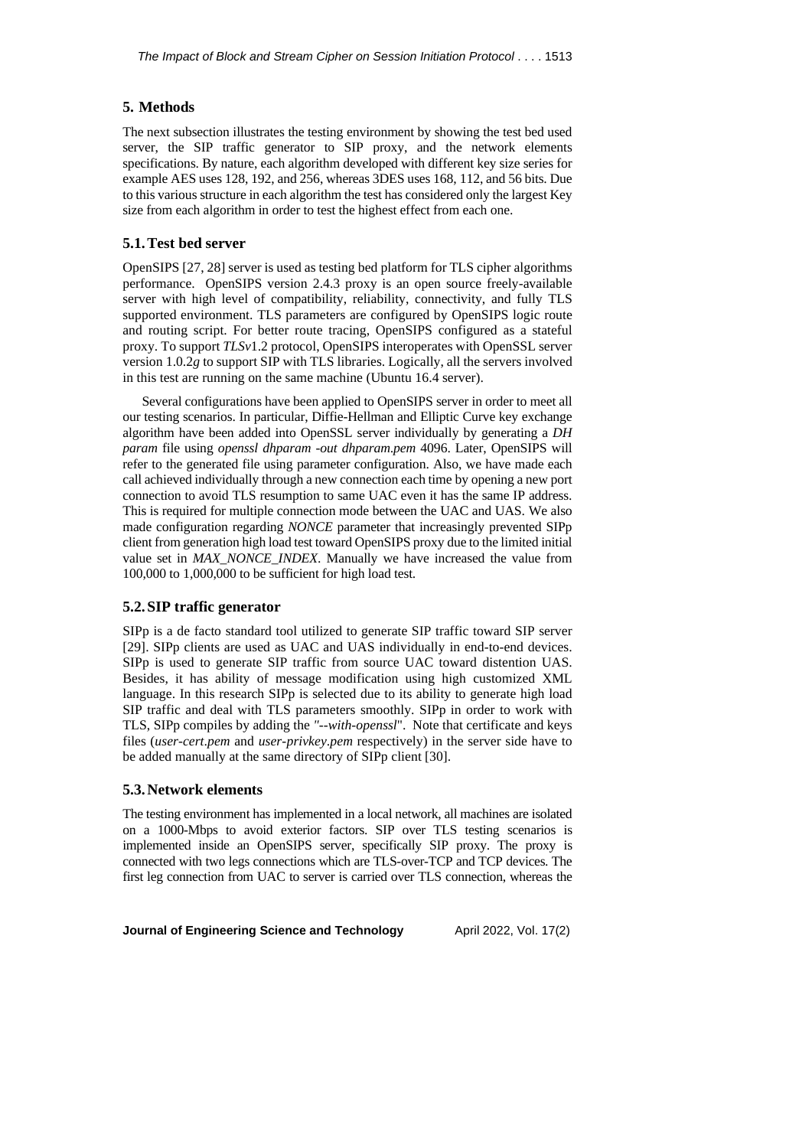## **5. Methods**

The next subsection illustrates the testing environment by showing the test bed used server, the SIP traffic generator to SIP proxy, and the network elements specifications. By nature, each algorithm developed with different key size series for example AES uses 128, 192, and 256, whereas 3DES uses 168, 112, and 56 bits. Due to this various structure in each algorithm the test has considered only the largest Key size from each algorithm in order to test the highest effect from each one.

### **5.1.Test bed server**

OpenSIPS [27, 28] server is used as testing bed platform for TLS cipher algorithms performance. OpenSIPS version 2.4.3 proxy is an open source freely-available server with high level of compatibility, reliability, connectivity, and fully TLS supported environment. TLS parameters are configured by OpenSIPS logic route and routing script. For better route tracing, OpenSIPS configured as a stateful proxy. To support *TLSv*1.2 protocol, OpenSIPS interoperates with OpenSSL server version 1.0.2*g* to support SIP with TLS libraries. Logically, all the servers involved in this test are running on the same machine (Ubuntu 16.4 server).

Several configurations have been applied to OpenSIPS server in order to meet all our testing scenarios. In particular, Diffie-Hellman and Elliptic Curve key exchange algorithm have been added into OpenSSL server individually by generating a *DH param* file using *openssl dhparam -out dhparam*.*pem* 4096. Later, OpenSIPS will refer to the generated file using parameter configuration. Also, we have made each call achieved individually through a new connection each time by opening a new port connection to avoid TLS resumption to same UAC even it has the same IP address. This is required for multiple connection mode between the UAC and UAS. We also made configuration regarding *NONCE* parameter that increasingly prevented SIPp client from generation high load test toward OpenSIPS proxy due to the limited initial value set in *MAX\_NONCE\_INDEX*. Manually we have increased the value from 100,000 to 1,000,000 to be sufficient for high load test.

## **5.2.SIP traffic generator**

SIPp is a de facto standard tool utilized to generate SIP traffic toward SIP server [29]. SIPp clients are used as UAC and UAS individually in end-to-end devices. SIPp is used to generate SIP traffic from source UAC toward distention UAS. Besides, it has ability of message modification using high customized XML language. In this research SIPp is selected due to its ability to generate high load SIP traffic and deal with TLS parameters smoothly. SIPp in order to work with TLS, SIPp compiles by adding the *"--with-openssl*". Note that certificate and keys files (*user-cert*.*pem* and *user-privkey*.*pem* respectively) in the server side have to be added manually at the same directory of SIPp client [30].

#### **5.3.Network elements**

The testing environment has implemented in a local network, all machines are isolated on a 1000-Mbps to avoid exterior factors. SIP over TLS testing scenarios is implemented inside an OpenSIPS server, specifically SIP proxy. The proxy is connected with two legs connections which are TLS-over-TCP and TCP devices. The first leg connection from UAC to server is carried over TLS connection, whereas the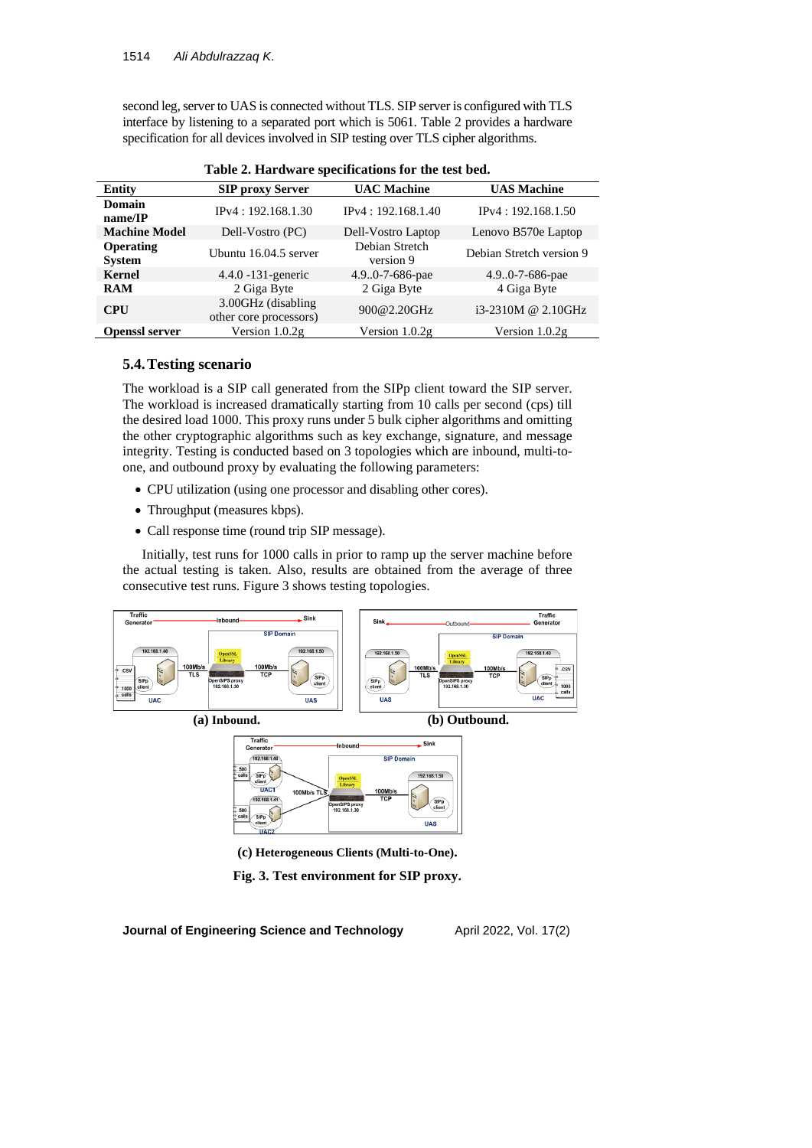second leg, server to UAS is connected without TLS. SIP server is configured with TLS interface by listening to a separated port which is 5061. Table 2 provides a hardware specification for all devices involved in SIP testing over TLS cipher algorithms.

| <b>Entity</b>                     | <b>SIP proxy Server</b>                      | <b>UAC Machine</b>          | <b>UAS Machine</b>       |
|-----------------------------------|----------------------------------------------|-----------------------------|--------------------------|
| Domain<br>name/IP                 | IP <sub>v</sub> 4: 192.168.1.30              | IPv4: 192.168.1.40          | IPv4: 192.168.1.50       |
| <b>Machine Model</b>              | Dell-Vostro (PC)                             | Dell-Vostro Laptop          | Lenovo B570e Laptop      |
| <b>Operating</b><br><b>System</b> | Ubuntu 16.04.5 server                        | Debian Stretch<br>version 9 | Debian Stretch version 9 |
| <b>Kernel</b>                     | $4.4.0 - 131$ -generic                       | 4.9.0-7-686-pae             | 4.9.0-7-686-pae          |
| <b>RAM</b>                        | 2 Giga Byte                                  | 2 Giga Byte                 | 4 Giga Byte              |
| <b>CPU</b>                        | 3.00GHz (disabling<br>other core processors) | 900@2.20GHz                 | $i3-2310M$ @ 2.10GHz     |
| <b>Openssl server</b>             | Version $1.0.2g$                             | Version $1.0.2g$            | Version $1.0.2g$         |

| Table 2. Hardware specifications for the test bed. |  |  |  |
|----------------------------------------------------|--|--|--|
|----------------------------------------------------|--|--|--|

# **5.4.Testing scenario**

The workload is a SIP call generated from the SIPp client toward the SIP server. The workload is increased dramatically starting from 10 calls per second (cps) till the desired load 1000. This proxy runs under 5 bulk cipher algorithms and omitting the other cryptographic algorithms such as key exchange, signature, and message integrity. Testing is conducted based on 3 topologies which are inbound, multi-toone, and outbound proxy by evaluating the following parameters:

- CPU utilization (using one processor and disabling other cores).
- Throughput (measures kbps).
- Call response time (round trip SIP message).

Initially, test runs for 1000 calls in prior to ramp up the server machine before the actual testing is taken. Also, results are obtained from the average of three consecutive test runs. Figure 3 shows testing topologies.



**(a) Inbound. (b) Outbound.**



**(c) Heterogeneous Clients (Multi-to-One).**

**Fig. 3. Test environment for SIP proxy.**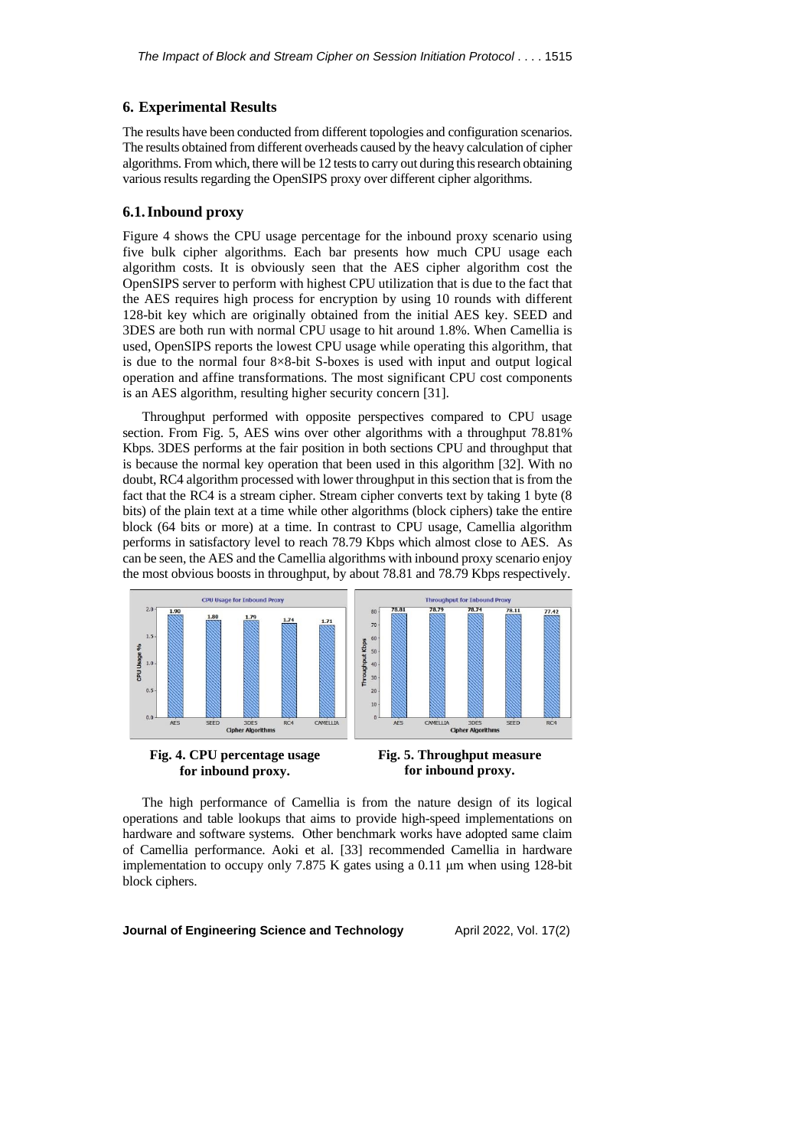## **6. Experimental Results**

The results have been conducted from different topologies and configuration scenarios. The results obtained from different overheads caused by the heavy calculation of cipher algorithms. From which, there will be 12 teststo carry out during thisresearch obtaining various results regarding the OpenSIPS proxy over different cipher algorithms.

#### **6.1.Inbound proxy**

Figure 4 shows the CPU usage percentage for the inbound proxy scenario using five bulk cipher algorithms. Each bar presents how much CPU usage each algorithm costs. It is obviously seen that the AES cipher algorithm cost the OpenSIPS server to perform with highest CPU utilization that is due to the fact that the AES requires high process for encryption by using 10 rounds with different 128-bit key which are originally obtained from the initial AES key. SEED and 3DES are both run with normal CPU usage to hit around 1.8%. When Camellia is used, OpenSIPS reports the lowest CPU usage while operating this algorithm, that is due to the normal four 8×8-bit S-boxes is used with input and output logical operation and affine transformations. The most significant CPU cost components is an AES algorithm, resulting higher security concern [31].

Throughput performed with opposite perspectives compared to CPU usage section. From Fig. 5, AES wins over other algorithms with a throughput 78.81% Kbps. 3DES performs at the fair position in both sections CPU and throughput that is because the normal key operation that been used in this algorithm [32]. With no doubt, RC4 algorithm processed with lower throughput in this section that is from the fact that the RC4 is a stream cipher. Stream cipher converts text by taking 1 byte (8 bits) of the plain text at a time while other algorithms (block ciphers) take the entire block (64 bits or more) at a time. In contrast to CPU usage, Camellia algorithm performs in satisfactory level to reach 78.79 Kbps which almost close to AES. As can be seen, the AES and the Camellia algorithms with inbound proxy scenario enjoy the most obvious boosts in throughput, by about 78.81 and 78.79 Kbps respectively.







The high performance of Camellia is from the nature design of its logical operations and table lookups that aims to provide high-speed implementations on hardware and software systems. Other benchmark works have adopted same claim of Camellia performance. Aoki et al. [33] recommended Camellia in hardware implementation to occupy only 7.875 K gates using a 0.11 μm when using 128-bit block ciphers.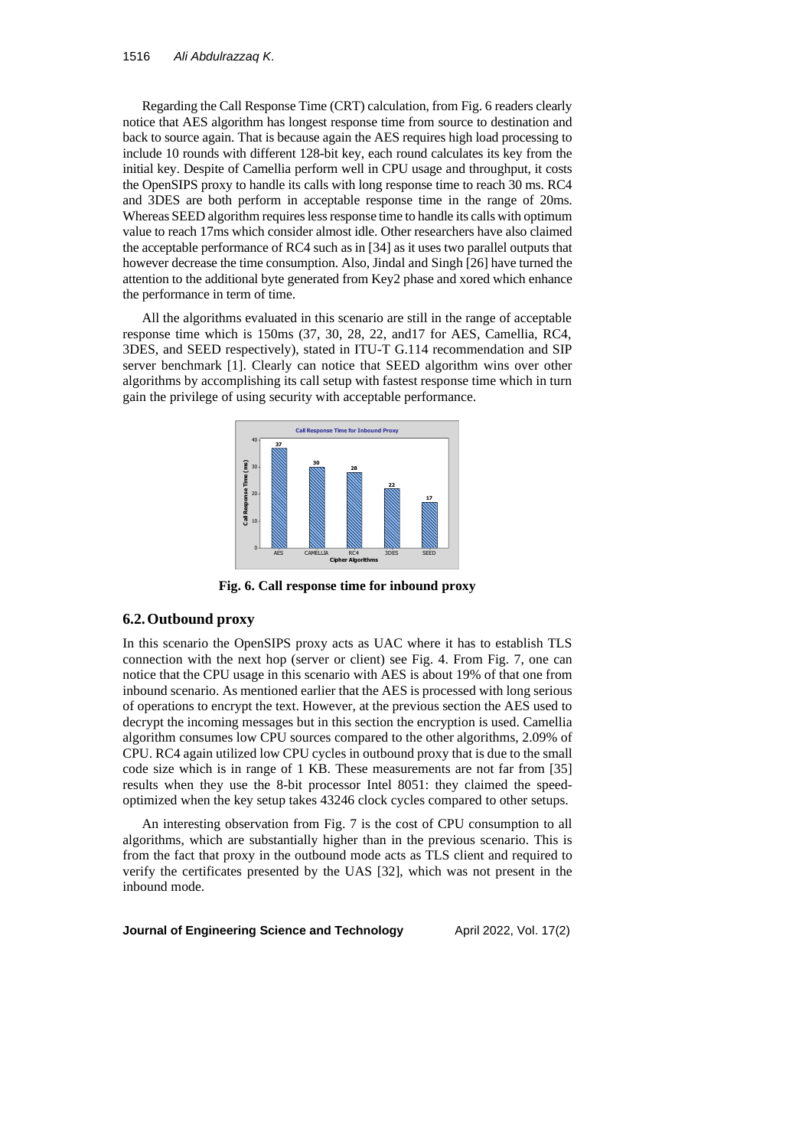Regarding the Call Response Time (CRT) calculation, from Fig. 6 readers clearly notice that AES algorithm has longest response time from source to destination and back to source again. That is because again the AES requires high load processing to include 10 rounds with different 128-bit key, each round calculates its key from the initial key. Despite of Camellia perform well in CPU usage and throughput, it costs the OpenSIPS proxy to handle its calls with long response time to reach 30 ms. RC4 and 3DES are both perform in acceptable response time in the range of 20ms. Whereas SEED algorithm requires less response time to handle its calls with optimum value to reach 17ms which consider almost idle. Other researchers have also claimed the acceptable performance of RC4 such as in [34] as it uses two parallel outputs that however decrease the time consumption. Also, Jindal and Singh [26] have turned the attention to the additional byte generated from Key2 phase and xored which enhance the performance in term of time.

All the algorithms evaluated in this scenario are still in the range of acceptable response time which is 150ms (37, 30, 28, 22, and17 for AES, Camellia, RC4, 3DES, and SEED respectively), stated in ITU-T G.114 recommendation and SIP server benchmark [1]. Clearly can notice that SEED algorithm wins over other algorithms by accomplishing its call setup with fastest response time which in turn gain the privilege of using security with acceptable performance.



**Fig. 6. Call response time for inbound proxy**

# **6.2.Outbound proxy**

In this scenario the OpenSIPS proxy acts as UAC where it has to establish TLS connection with the next hop (server or client) see Fig. 4. From Fig. 7, one can notice that the CPU usage in this scenario with AES is about 19% of that one from inbound scenario. As mentioned earlier that the AES is processed with long serious of operations to encrypt the text. However, at the previous section the AES used to decrypt the incoming messages but in this section the encryption is used. Camellia algorithm consumes low CPU sources compared to the other algorithms, 2.09% of CPU. RC4 again utilized low CPU cycles in outbound proxy that is due to the small code size which is in range of 1 KB. These measurements are not far from [35] results when they use the 8-bit processor Intel 8051: they claimed the speedoptimized when the key setup takes 43246 clock cycles compared to other setups.

An interesting observation from Fig. 7 is the cost of CPU consumption to all algorithms, which are substantially higher than in the previous scenario. This is from the fact that proxy in the outbound mode acts as TLS client and required to verify the certificates presented by the UAS [32], which was not present in the inbound mode.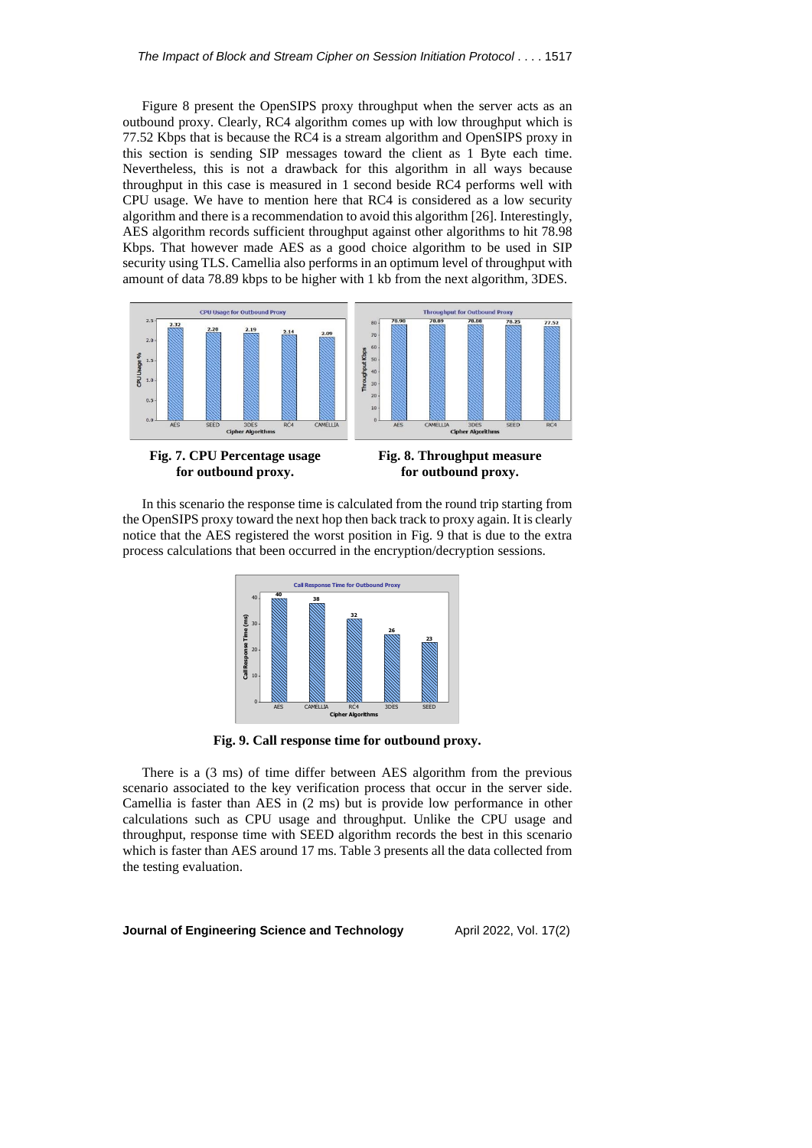Figure 8 present the OpenSIPS proxy throughput when the server acts as an outbound proxy. Clearly, RC4 algorithm comes up with low throughput which is 77.52 Kbps that is because the RC4 is a stream algorithm and OpenSIPS proxy in this section is sending SIP messages toward the client as 1 Byte each time. Nevertheless, this is not a drawback for this algorithm in all ways because throughput in this case is measured in 1 second beside RC4 performs well with CPU usage. We have to mention here that RC4 is considered as a low security algorithm and there is a recommendation to avoid this algorithm [26]. Interestingly, AES algorithm records sufficient throughput against other algorithms to hit 78.98 Kbps. That however made AES as a good choice algorithm to be used in SIP security using TLS. Camellia also performs in an optimum level of throughput with amount of data 78.89 kbps to be higher with 1 kb from the next algorithm, 3DES.



**for outbound proxy.**

**Fig. 8. Throughput measure for outbound proxy.**

In this scenario the response time is calculated from the round trip starting from the OpenSIPS proxy toward the next hop then back track to proxy again. It is clearly notice that the AES registered the worst position in Fig. 9 that is due to the extra process calculations that been occurred in the encryption/decryption sessions.

|                         |          |     | <b>Call Response Time for Outbound Proxy</b> |                          |      |      |  |
|-------------------------|----------|-----|----------------------------------------------|--------------------------|------|------|--|
|                         | 40       | 40  | 38                                           |                          |      |      |  |
|                         | $30 -$   |     |                                              | 32                       | 26   |      |  |
| Call Response Time (ms) | $20 -$   |     |                                              |                          |      | 23   |  |
|                         | $10 -$   |     |                                              |                          |      |      |  |
|                         | $\Omega$ | AES | CAMELLIA                                     | RC4                      | 3DES | SEED |  |
|                         |          |     |                                              | <b>Cipher Algorithms</b> |      |      |  |

**Fig. 9. Call response time for outbound proxy.**

There is a (3 ms) of time differ between AES algorithm from the previous scenario associated to the key verification process that occur in the server side. Camellia is faster than AES in (2 ms) but is provide low performance in other calculations such as CPU usage and throughput. Unlike the CPU usage and throughput, response time with SEED algorithm records the best in this scenario which is faster than AES around 17 ms. Table 3 presents all the data collected from the testing evaluation.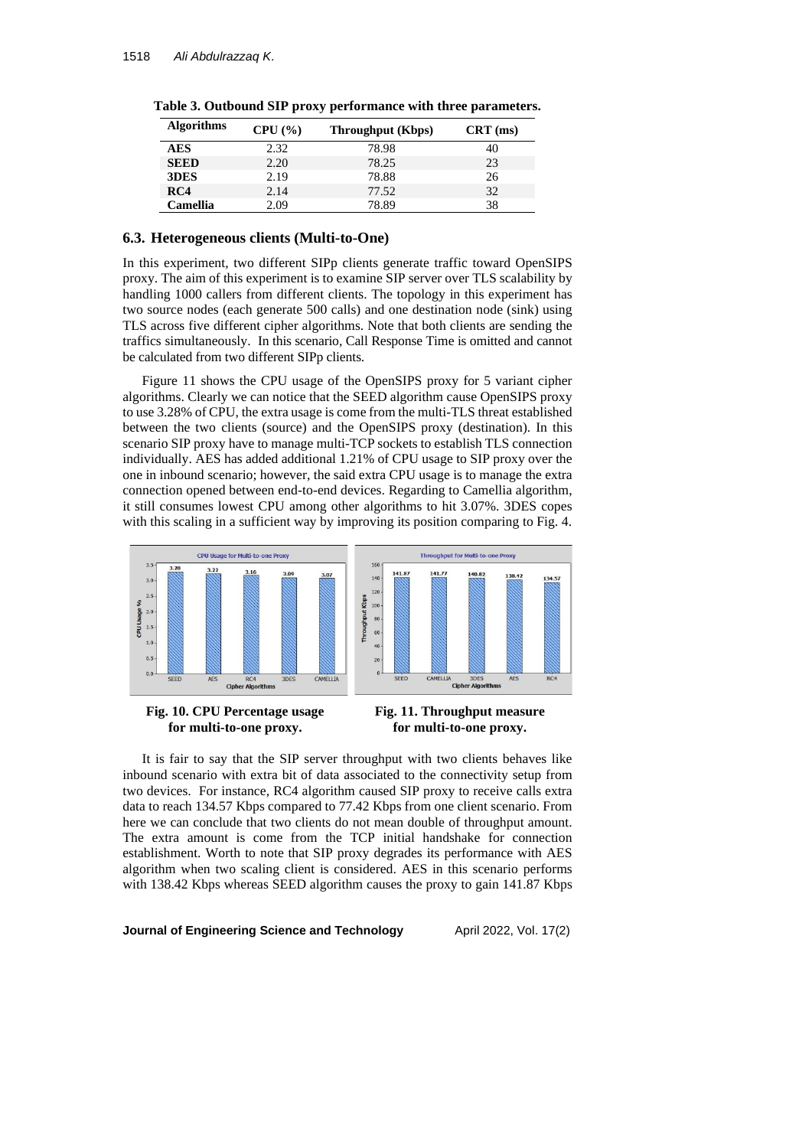| <b>Algorithms</b> | CPU (%) | Throughput (Kbps) | $CRT$ (ms) |
|-------------------|---------|-------------------|------------|
| <b>AES</b>        | 2.32    | 78.98             | 40         |
| <b>SEED</b>       | 2.20    | 78.25             | 23         |
| 3DES              | 2.19    | 78.88             | 26         |
| RC4               | 2.14    | 77.52             | 32         |
| Camellia          | 2.09    | 78.89             | 38         |

**Table 3. Outbound SIP proxy performance with three parameters.**

#### **6.3. Heterogeneous clients (Multi-to-One)**

In this experiment, two different SIPp clients generate traffic toward OpenSIPS proxy. The aim of this experiment is to examine SIP server over TLS scalability by handling 1000 callers from different clients. The topology in this experiment has two source nodes (each generate 500 calls) and one destination node (sink) using TLS across five different cipher algorithms. Note that both clients are sending the traffics simultaneously. In this scenario, Call Response Time is omitted and cannot be calculated from two different SIPp clients.

Figure 11 shows the CPU usage of the OpenSIPS proxy for 5 variant cipher algorithms. Clearly we can notice that the SEED algorithm cause OpenSIPS proxy to use 3.28% of CPU, the extra usage is come from the multi-TLS threat established between the two clients (source) and the OpenSIPS proxy (destination). In this scenario SIP proxy have to manage multi-TCP sockets to establish TLS connection individually. AES has added additional 1.21% of CPU usage to SIP proxy over the one in inbound scenario; however, the said extra CPU usage is to manage the extra connection opened between end-to-end devices. Regarding to Camellia algorithm, it still consumes lowest CPU among other algorithms to hit 3.07%. 3DES copes with this scaling in a sufficient way by improving its position comparing to Fig. 4.



**Fig. 10. CPU Percentage usage for multi-to-one proxy.**

**Fig. 11. Throughput measure for multi-to-one proxy.**

It is fair to say that the SIP server throughput with two clients behaves like inbound scenario with extra bit of data associated to the connectivity setup from two devices. For instance, RC4 algorithm caused SIP proxy to receive calls extra data to reach 134.57 Kbps compared to 77.42 Kbps from one client scenario. From here we can conclude that two clients do not mean double of throughput amount. The extra amount is come from the TCP initial handshake for connection establishment. Worth to note that SIP proxy degrades its performance with AES algorithm when two scaling client is considered. AES in this scenario performs with 138.42 Kbps whereas SEED algorithm causes the proxy to gain 141.87 Kbps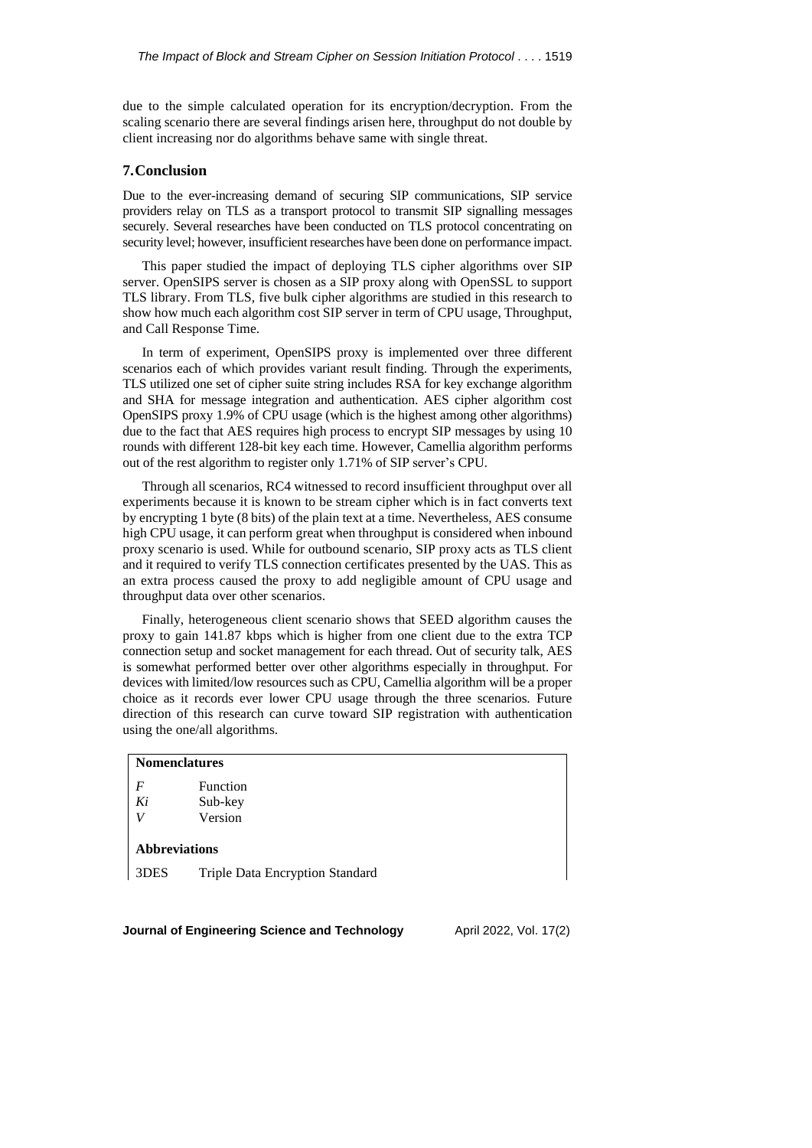due to the simple calculated operation for its encryption/decryption. From the scaling scenario there are several findings arisen here, throughput do not double by client increasing nor do algorithms behave same with single threat.

## **7.Conclusion**

Due to the ever-increasing demand of securing SIP communications, SIP service providers relay on TLS as a transport protocol to transmit SIP signalling messages securely. Several researches have been conducted on TLS protocol concentrating on security level; however, insufficient researches have been done on performance impact.

This paper studied the impact of deploying TLS cipher algorithms over SIP server. OpenSIPS server is chosen as a SIP proxy along with OpenSSL to support TLS library. From TLS, five bulk cipher algorithms are studied in this research to show how much each algorithm cost SIP server in term of CPU usage, Throughput, and Call Response Time.

In term of experiment, OpenSIPS proxy is implemented over three different scenarios each of which provides variant result finding. Through the experiments, TLS utilized one set of cipher suite string includes RSA for key exchange algorithm and SHA for message integration and authentication. AES cipher algorithm cost OpenSIPS proxy 1.9% of CPU usage (which is the highest among other algorithms) due to the fact that AES requires high process to encrypt SIP messages by using 10 rounds with different 128-bit key each time. However, Camellia algorithm performs out of the rest algorithm to register only 1.71% of SIP server's CPU.

Through all scenarios, RC4 witnessed to record insufficient throughput over all experiments because it is known to be stream cipher which is in fact converts text by encrypting 1 byte (8 bits) of the plain text at a time. Nevertheless, AES consume high CPU usage, it can perform great when throughput is considered when inbound proxy scenario is used. While for outbound scenario, SIP proxy acts as TLS client and it required to verify TLS connection certificates presented by the UAS. This as an extra process caused the proxy to add negligible amount of CPU usage and throughput data over other scenarios.

Finally, heterogeneous client scenario shows that SEED algorithm causes the proxy to gain 141.87 kbps which is higher from one client due to the extra TCP connection setup and socket management for each thread. Out of security talk, AES is somewhat performed better over other algorithms especially in throughput. For devices with limited/low resources such as CPU, Camellia algorithm will be a proper choice as it records ever lower CPU usage through the three scenarios. Future direction of this research can curve toward SIP registration with authentication using the one/all algorithms.

# **Nomenclatures**

| F  | Function |
|----|----------|
| Ki | Sub-key  |
| V  | Version  |

#### **Abbreviations**

3DES Triple Data Encryption Standard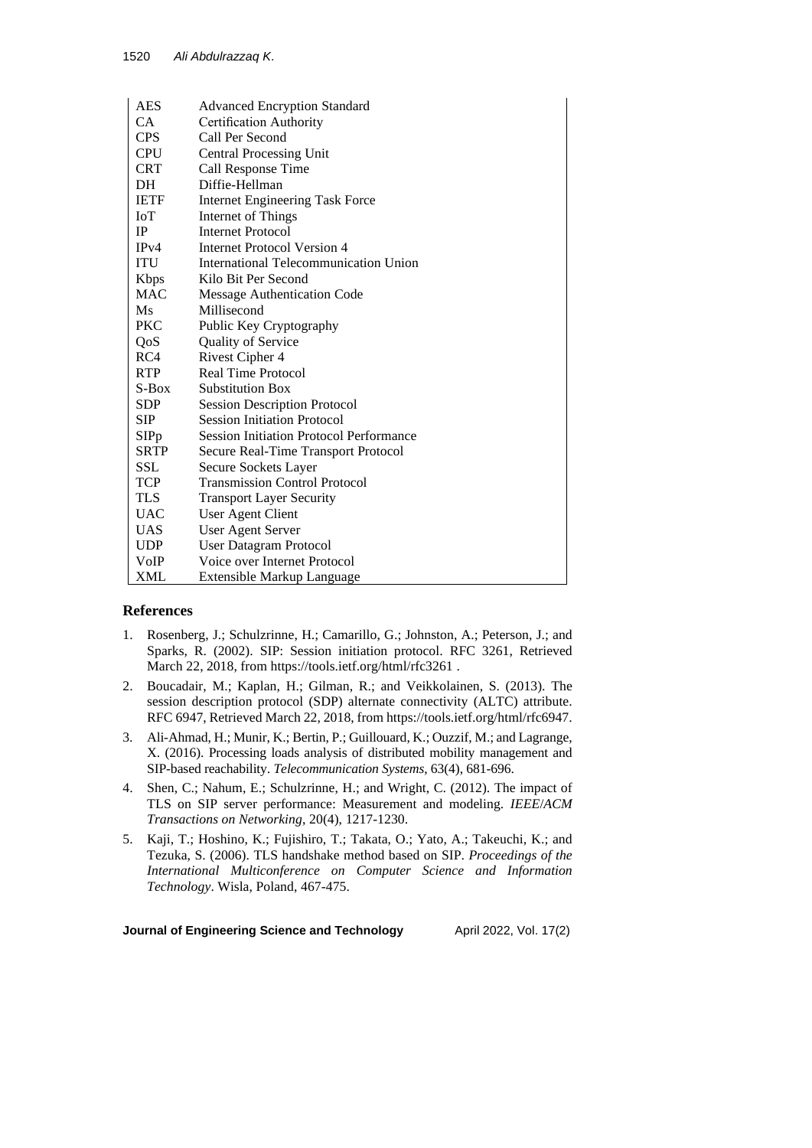| AES         | <b>Advanced Encryption Standard</b>            |
|-------------|------------------------------------------------|
| CA          | Certification Authority                        |
| <b>CPS</b>  | Call Per Second                                |
| <b>CPU</b>  | <b>Central Processing Unit</b>                 |
| <b>CRT</b>  | Call Response Time                             |
| DH          | Diffie-Hellman                                 |
| <b>IETF</b> | <b>Internet Engineering Task Force</b>         |
| <b>IoT</b>  | <b>Internet of Things</b>                      |
| IP          | <b>Internet Protocol</b>                       |
| IPv4        | <b>Internet Protocol Version 4</b>             |
| <b>ITU</b>  | International Telecommunication Union          |
| <b>Kbps</b> | Kilo Bit Per Second                            |
| MAC         | Message Authentication Code                    |
| Ms          | Millisecond                                    |
| PKC         | Public Key Cryptography                        |
| QoS         | Quality of Service                             |
| RC4         | Rivest Cipher 4                                |
| <b>RTP</b>  | <b>Real Time Protocol</b>                      |
| $S-Box$     | <b>Substitution Box</b>                        |
| <b>SDP</b>  | <b>Session Description Protocol</b>            |
| SIP         | <b>Session Initiation Protocol</b>             |
| SIPp        | <b>Session Initiation Protocol Performance</b> |
| <b>SRTP</b> | Secure Real-Time Transport Protocol            |
| SSL         | Secure Sockets Layer                           |
| <b>TCP</b>  | <b>Transmission Control Protocol</b>           |
| <b>TLS</b>  | <b>Transport Layer Security</b>                |
| <b>UAC</b>  | User Agent Client                              |
| <b>UAS</b>  | <b>User Agent Server</b>                       |
| <b>UDP</b>  | User Datagram Protocol                         |
| VoIP        | Voice over Internet Protocol                   |
| XML         | Extensible Markup Language                     |

# **References**

- 1. Rosenberg, J.; Schulzrinne, H.; Camarillo, G.; Johnston, A.; Peterson, J.; and Sparks, R. (2002). SIP: Session initiation protocol. RFC 3261, Retrieved March 22, 2018, from https://tools.ietf.org/html/rfc3261 .
- 2. Boucadair, M.; Kaplan, H.; Gilman, R.; and Veikkolainen, S. (2013). The session description protocol (SDP) alternate connectivity (ALTC) attribute. RFC 6947, Retrieved March 22, 2018, from https://tools.ietf.org/html/rfc6947.
- 3. Ali-Ahmad, H.; Munir, K.; Bertin, P.; Guillouard, K.; Ouzzif, M.; and Lagrange, X. (2016). Processing loads analysis of distributed mobility management and SIP-based reachability. *Telecommunication Systems*, 63(4), 681-696.
- 4. Shen, C.; Nahum, E.; Schulzrinne, H.; and Wright, C. (2012). The impact of TLS on SIP server performance: Measurement and modeling. *IEEE*/*ACM Transactions on Networking*, 20(4), 1217-1230.
- 5. Kaji, T.; Hoshino, K.; Fujishiro, T.; Takata, O.; Yato, A.; Takeuchi, K.; and Tezuka, S. (2006). TLS handshake method based on SIP. *Proceedings of the International Multiconference on Computer Science and Information Technology*. Wisla, Poland, 467-475.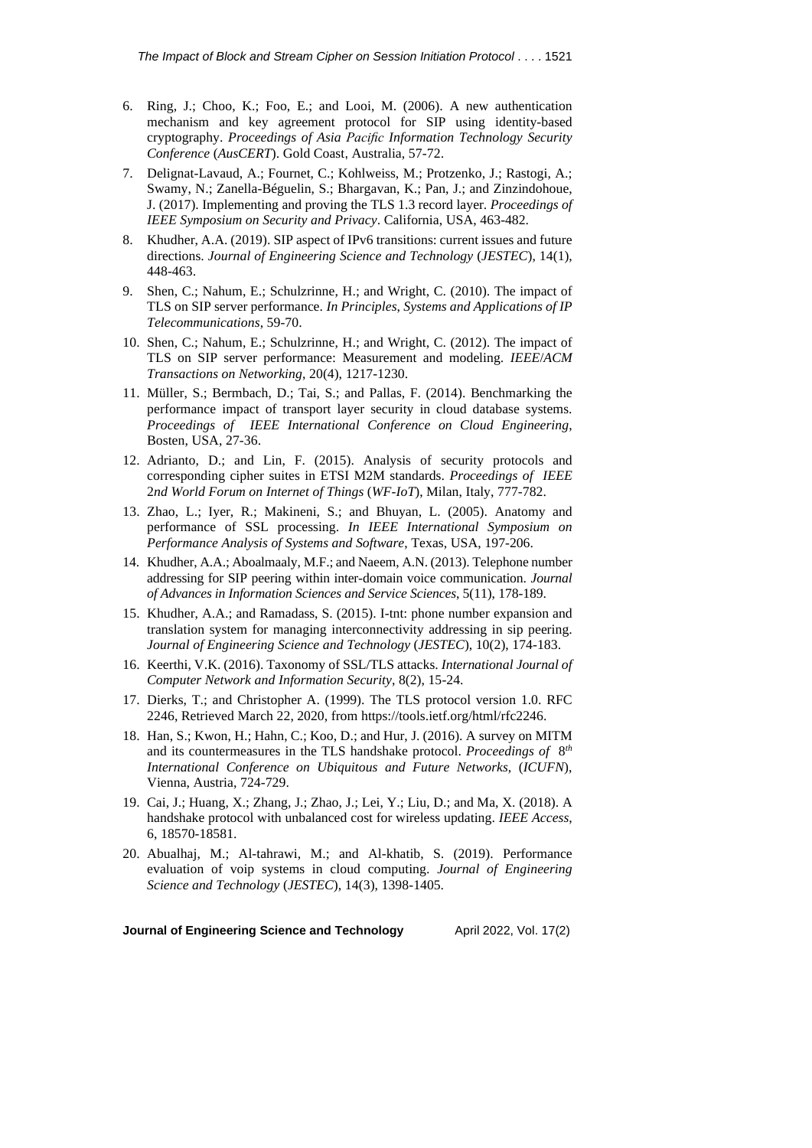- 6. Ring, J.; Choo, K.; Foo, E.; and Looi, M. (2006). A new authentication mechanism and key agreement protocol for SIP using identity-based cryptography. *Proceedings of Asia Pacific Information Technology Security Conference* (*AusCERT*). Gold Coast, Australia, 57-72.
- 7. Delignat-Lavaud, A.; Fournet, C.; Kohlweiss, M.; Protzenko, J.; Rastogi, A.; Swamy, N.; Zanella-Béguelin, S.; Bhargavan, K.; Pan, J.; and Zinzindohoue, J. (2017). Implementing and proving the TLS 1.3 record layer. *Proceedings of IEEE Symposium on Security and Privacy*. California, USA, 463-482.
- 8. Khudher, A.A. (2019). SIP aspect of IPv6 transitions: current issues and future directions. *Journal of Engineering Science and Technology* (*JESTEC*), 14(1), 448-463.
- 9. Shen, C.; Nahum, E.; Schulzrinne, H.; and Wright, C. (2010). The impact of TLS on SIP server performance. *In Principles*, *Systems and Applications of IP Telecommunications*, 59-70.
- 10. Shen, C.; Nahum, E.; Schulzrinne, H.; and Wright, C. (2012). The impact of TLS on SIP server performance: Measurement and modeling. *IEEE*/*ACM Transactions on Networking*, 20(4), 1217-1230.
- 11. Müller, S.; Bermbach, D.; Tai, S.; and Pallas, F. (2014). Benchmarking the performance impact of transport layer security in cloud database systems. *Proceedings of IEEE International Conference on Cloud Engineering*, Bosten, USA, 27-36.
- 12. Adrianto, D.; and Lin, F. (2015). Analysis of security protocols and corresponding cipher suites in ETSI M2M standards. *Proceedings of IEEE* 2*nd World Forum on Internet of Things* (*WF-IoT*), Milan, Italy, 777-782.
- 13. Zhao, L.; Iyer, R.; Makineni, S.; and Bhuyan, L. (2005). Anatomy and performance of SSL processing. *In IEEE International Symposium on Performance Analysis of Systems and Software*, Texas, USA, 197-206.
- 14. Khudher, A.A.; Aboalmaaly, M.F.; and Naeem, A.N. (2013). Telephone number addressing for SIP peering within inter-domain voice communication. *Journal of Advances in Information Sciences and Service Sciences*, 5(11), 178-189.
- 15. Khudher, A.A.; and Ramadass, S. (2015). I-tnt: phone number expansion and translation system for managing interconnectivity addressing in sip peering. *Journal of Engineering Science and Technology* (*JESTEC*), 10(2), 174-183.
- 16. Keerthi, V.K. (2016). Taxonomy of SSL/TLS attacks. *International Journal of Computer Network and Information Security*, 8(2), 15-24.
- 17. Dierks, T.; and Christopher A. (1999). The TLS protocol version 1.0. RFC 2246, Retrieved March 22, 2020, from https://tools.ietf.org/html/rfc2246.
- 18. Han, S.; Kwon, H.; Hahn, C.; Koo, D.; and Hur, J. (2016). A survey on MITM and its countermeasures in the TLS handshake protocol. *Proceedings of* 8 *th International Conference on Ubiquitous and Future Networks*, (*ICUFN*), Vienna, Austria, 724-729.
- 19. Cai, J.; Huang, X.; Zhang, J.; Zhao, J.; Lei, Y.; Liu, D.; and Ma, X. (2018). A handshake protocol with unbalanced cost for wireless updating. *IEEE Access*, 6, 18570-18581.
- 20. Abualhaj, M.; Al-tahrawi, M.; and Al-khatib, S. (2019). Performance evaluation of voip systems in cloud computing. *Journal of Engineering Science and Technology* (*JESTEC*), 14(3), 1398-1405.